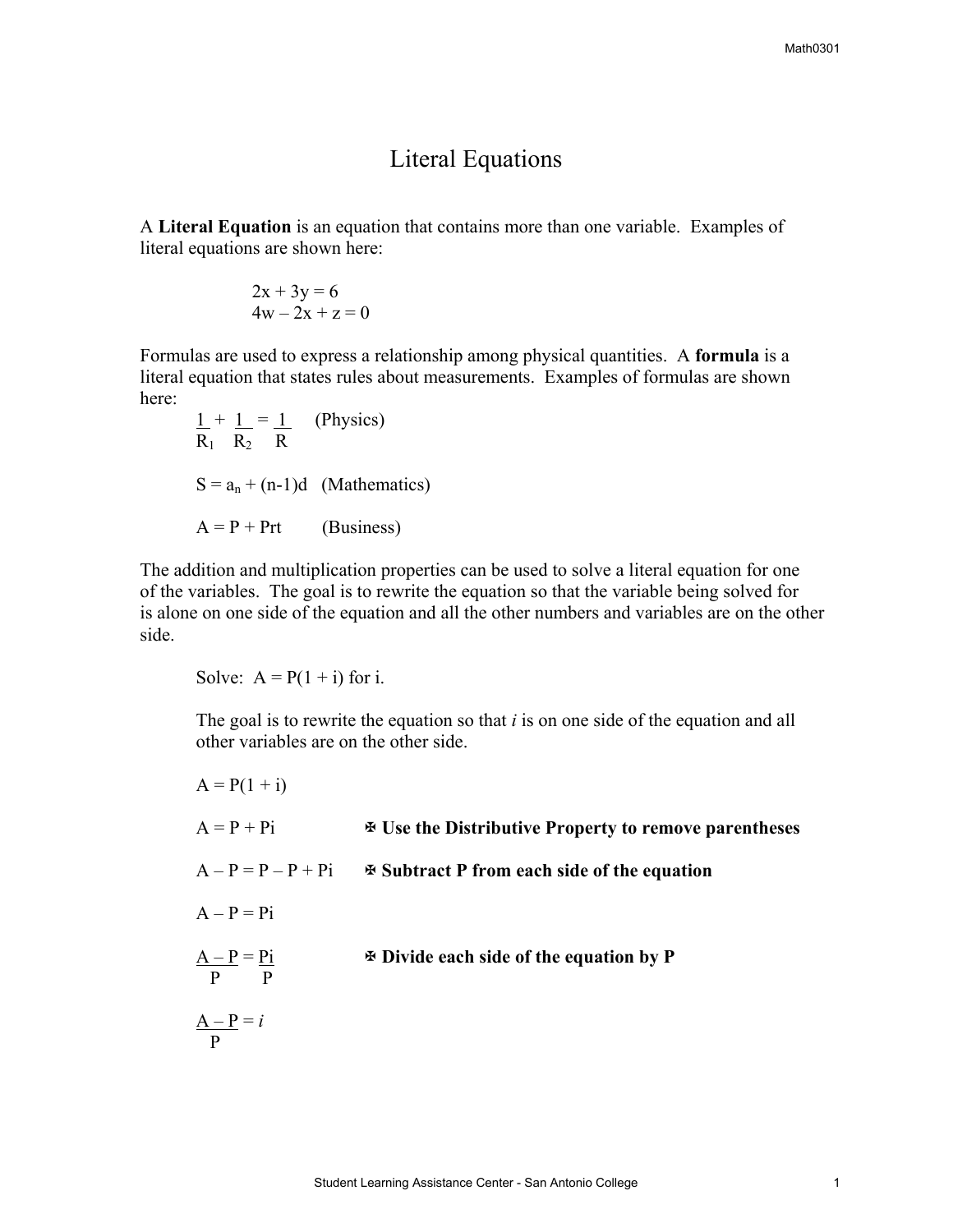## Literal Equations

A **Literal Equation** is an equation that contains more than one variable. Examples of literal equations are shown here:

$$
2x + 3y = 6
$$
  

$$
4w - 2x + z = 0
$$

Formulas are used to express a relationship among physical quantities. A **formula** is a literal equation that states rules about measurements. Examples of formulas are shown here:

$$
\frac{1}{R_1} + \frac{1}{R_2} = \frac{1}{R}
$$
 (Physics)  

$$
S = a_n + (n-1)d
$$
 (Mathematics)  

$$
A = P + Prt
$$
 (Business)

The addition and multiplication properties can be used to solve a literal equation for one of the variables. The goal is to rewrite the equation so that the variable being solved for is alone on one side of the equation and all the other numbers and variables are on the other side.

Solve:  $A = P(1 + i)$  for i.

The goal is to rewrite the equation so that *i* is on one side of the equation and all other variables are on the other side.

| $A = P(1 + i)$                 |                                                                       |
|--------------------------------|-----------------------------------------------------------------------|
| $A = P + Pi$                   | <b>EXAMPLE 15 Use the Distributive Property to remove parentheses</b> |
| $A - P = P - P + Pi$           | <b><math>\Phi</math> Subtract P from each side of the equation</b>    |
| $A - P = Pi$                   |                                                                       |
| $\frac{A-P}{P} = \frac{Pi}{P}$ | $\Phi$ Divide each side of the equation by P                          |
| $\frac{A-P}{P} = i$            |                                                                       |